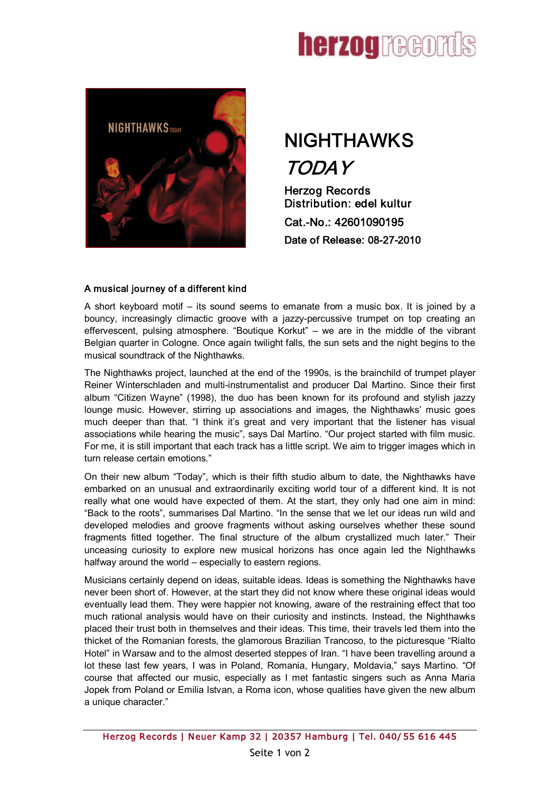



# NIGHTHAWKS TODAY

Herzog Records Distribution: edel kultur Cat.No.: 42601090195 Date of Release: 08-27-2010

## A musical journey of a different kind

A short keyboard motif – its sound seems to emanate from a music box. It is joined by a bouncy, increasingly climactic groove with a jazzy-percussive trumpet on top creating an effervescent, pulsing atmosphere. "Boutique Korkut" – we are in the middle of the vibrant Belgian quarter in Cologne. Once again twilight falls, the sun sets and the night begins to the musical soundtrack of the Nighthawks.

The Nighthawks project, launched at the end of the 1990s, is the brainchild of trumpet player Reiner Winterschladen and multi-instrumentalist and producer Dal Martino. Since their first album "Citizen Wayne" (1998), the duo has been known for its profound and stylish jazzy lounge music. However, stirring up associations and images, the Nighthawks' music goes much deeper than that. "I think it's great and very important that the listener has visual associations while hearing the music", says Dal Martino. "Our project started with film music. For me, it is still important that each track has a little script. We aim to trigger images which in turn release certain emotions."

On their new album "Today", which is their fifth studio album to date, the Nighthawks have embarked on an unusual and extraordinarily exciting world tour of a different kind. It is not really what one would have expected of them. At the start, they only had one aim in mind: "Back to the roots", summarises Dal Martino. "In the sense that we let our ideas run wild and developed melodies and groove fragments without asking ourselves whether these sound fragments fitted together. The final structure of the album crystallized much later." Their unceasing curiosity to explore new musical horizons has once again led the Nighthawks halfway around the world – especially to eastern regions.

Musicians certainly depend on ideas, suitable ideas. Ideas is something the Nighthawks have never been short of. However, at the start they did not know where these original ideas would eventually lead them. They were happier not knowing, aware of the restraining effect that too much rational analysis would have on their curiosity and instincts. Instead, the Nighthawks placed their trust both in themselves and their ideas. This time, their travels led them into the thicket of the Romanian forests, the glamorous Brazilian Trancoso, to the picturesque "Rialto Hotel" in Warsaw and to the almost deserted steppes of Iran. "I have been travelling around a lot these last few years, I was in Poland, Romania, Hungary, Moldavia," says Martino. "Of course that affected our music, especially as I met fantastic singers such as Anna Maria Jopek from Poland or Emilia Istvan, a Roma icon, whose qualities have given the new album a unique character."